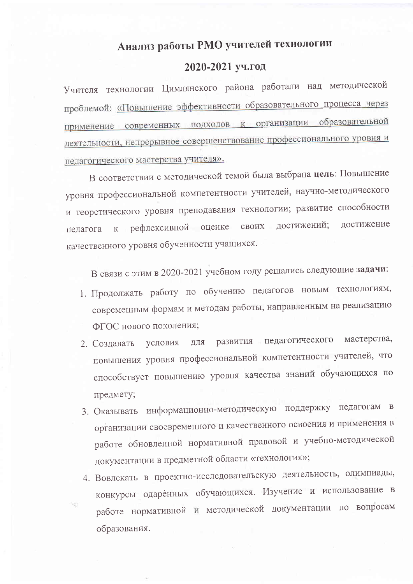## Анализ работы РМО учителей технологии

## 2020-2021 уч.год

Учителя технологии Цимлянского района работали над методической проблемой: «Повышение эффективности образовательного процесса через применение современных подходов к организации образовательной деятельности, непрерывное совершенствование профессионального уровня и педагогического мастерства учителя».

В соответствии с методической темой была выбрана цель: Повышение уровня профессиональной компетентности учителей, научно-методического и теоретического уровня преподавания технологии; развитие способности достижений; лостижение рефлексивной оценке своих педагога  $\rm K$ качественного уровня обученности учащихся.

В связи с этим в 2020-2021 учебном году решались следующие задачи:

- 1. Продолжать работу по обучению педагогов новым технологиям, современным формам и методам работы, направленным на реализацию ФГОС нового поколения;
- мастерства, развития педагогического условия ДЛЯ 2. Создавать повышения уровня профессиональной компетентности учителей, что способствует повышению уровня качества знаний обучающихся по предмету;
- 3. Оказывать информационно-методическую поддержку педагогам  $\overline{B}$ организации своевременного и качественного освоения и применения в работе обновленной нормативной правовой и учебно-методической документации в предметной области «технология»;
- 4. Вовлекать в проектно-исследовательскую деятельность, олимпиады, конкурсы одаренных обучающихся. Изучение и использование в работе нормативной и методической документации по вопросам образования.

hg.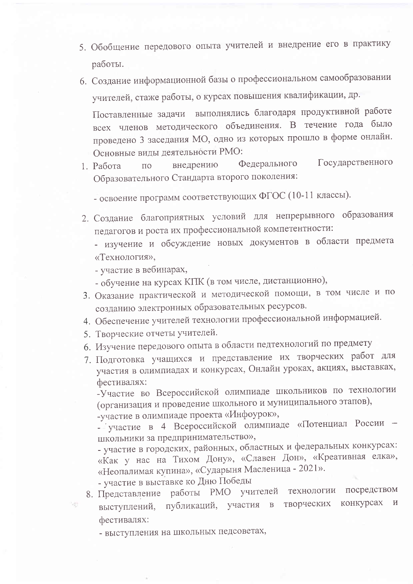- 5. Обобщение передового опыта учителей и внедрение его в практику работы.
- 6. Создание информационной базы о профессиональном самообразовании учителей, стаже работы, о курсах повышения квалификации, др.

Поставленные задачи выполнялись благодаря продуктивной работе всех членов методического объединения. В течение года было проведено 3 заседания МО, одно из которых прошло в форме онлайн. Основные виды деятельности РМО:

- Государственного Федерального внедрению 1. Работа  $\Pi$ <sup>O</sup> Образовательного Стандарта второго поколения:
	- освоение программ соответствующих ФГОС (10-11 классы).
- 2. Создание благоприятных условий для непрерывного образования педагогов и роста их профессиональной компетентности:

- изучение и обсуждение новых документов в области предмета «Технология»,

- участие в вебинарах,

- обучение на курсах КПК (в том числе, дистанционно),
- 3. Оказание практической и методической помощи, в том числе и по созданию электронных образовательных ресурсов.
- 4. Обеспечение учителей технологии профессиональной информацией.
- 5. Творческие отчеты учителей.
- 6. Изучение передового опыта в области педтехнологий по предмету
- 7. Подготовка учащихся и представление их творческих работ для участия в олимпиадах и конкурсах, Онлайн уроках, акциях, выставках, фестивалях:

-Участие во Всероссийской олимпиаде школьников по технологии (организация и проведение школьного и муниципального этапов),

-участие в олимпиаде проекта «Инфоурок»,

- участие в 4 Всероссийской олимпиаде «Потенциал России школьники за предпринимательство»,

- участие в городских, районных, областных и федеральных конкурсах: «Как у нас на Тихом Дону», «Славен Дон», «Креативная елка», «Неопалимая купина», «Сударыня Масленица - 2021».

- участие в выставке ко Дню Победы

樹

- работы РМО учителей технологии посредством 8. Представление конкурсах И публикаций, участия творческих  $\mathbf{B}$ выступлений, фестивалях:
	- выступления на школьных педсоветах,